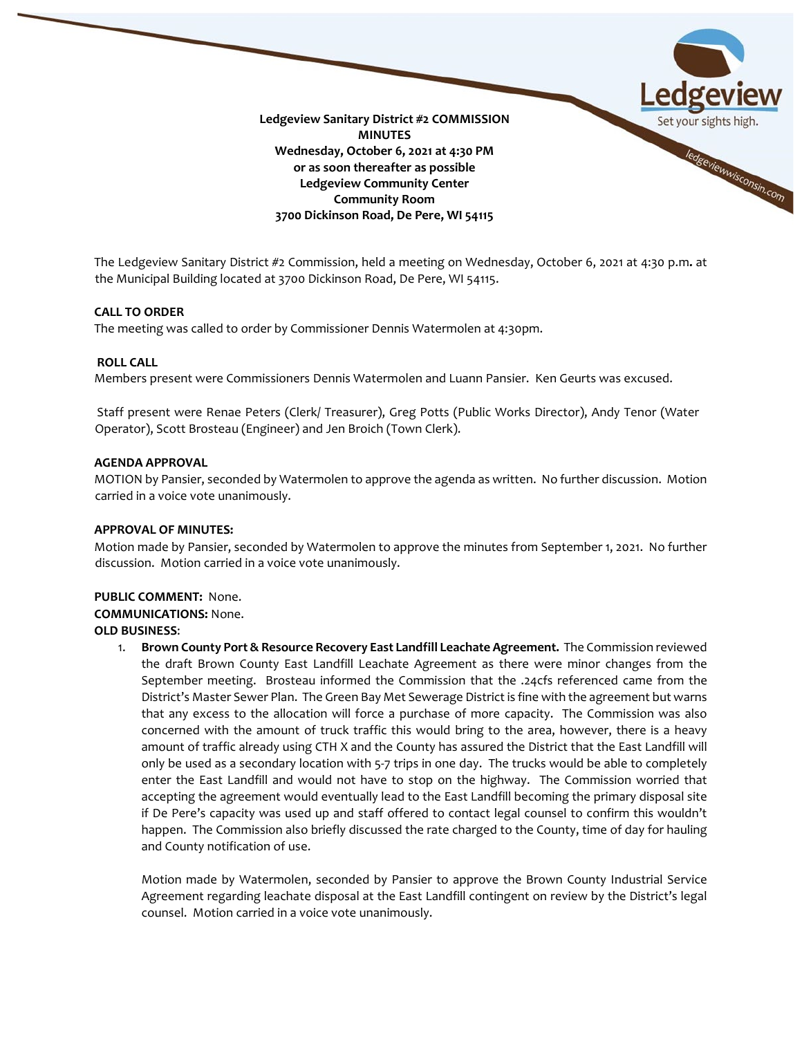

The Ledgeview Sanitary District #2 Commission, held a meeting on Wednesday, October 6, 2021 at 4:30 p.m**.** at the Municipal Building located at 3700 Dickinson Road, De Pere, WI 54115.

# **CALL TO ORDER**

The meeting was called to order by Commissioner Dennis Watermolen at 4:30pm.

# **ROLL CALL**

Members present were Commissioners Dennis Watermolen and Luann Pansier. Ken Geurts was excused.

Staff present were Renae Peters (Clerk/ Treasurer), Greg Potts (Public Works Director), Andy Tenor (Water Operator), Scott Brosteau (Engineer) and Jen Broich (Town Clerk).

# **AGENDA APPROVAL**

MOTION by Pansier, seconded by Watermolen to approve the agenda as written. No further discussion. Motion carried in a voice vote unanimously.

# **APPROVAL OF MINUTES:**

Motion made by Pansier, seconded by Watermolen to approve the minutes from September 1, 2021. No further discussion. Motion carried in a voice vote unanimously.

# **PUBLIC COMMENT:** None. **COMMUNICATIONS:** None.

**OLD BUSINESS**:

1. **Brown County Port & Resource Recovery East Landfill Leachate Agreement.** The Commission reviewed the draft Brown County East Landfill Leachate Agreement as there were minor changes from the September meeting. Brosteau informed the Commission that the .24cfs referenced came from the District's Master Sewer Plan. The Green Bay Met Sewerage District is fine with the agreement but warns that any excess to the allocation will force a purchase of more capacity. The Commission was also concerned with the amount of truck traffic this would bring to the area, however, there is a heavy amount of traffic already using CTH X and the County has assured the District that the East Landfill will only be used as a secondary location with 5-7 trips in one day. The trucks would be able to completely enter the East Landfill and would not have to stop on the highway. The Commission worried that accepting the agreement would eventually lead to the East Landfill becoming the primary disposal site if De Pere's capacity was used up and staff offered to contact legal counsel to confirm this wouldn't happen. The Commission also briefly discussed the rate charged to the County, time of day for hauling and County notification of use.

Motion made by Watermolen, seconded by Pansier to approve the Brown County Industrial Service Agreement regarding leachate disposal at the East Landfill contingent on review by the District's legal counsel. Motion carried in a voice vote unanimously.